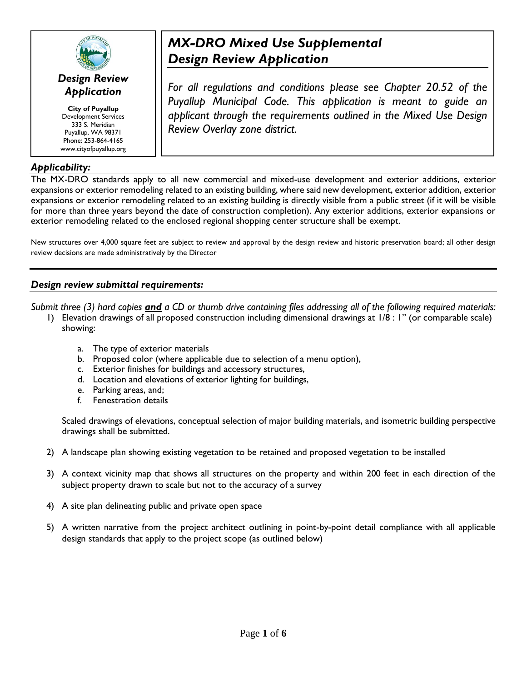

## *Design Review Application*

**City of Puyallup** Development Services 333 S. Meridian Puyallup, WA 98371 Phone: 253-864-4165 www.cityofpuyallup.org

## *Applicability:*

# *MX-DRO Mixed Use Supplemental Design Review Application*

*For all regulations and conditions please see Chapter 20.52 of the Puyallup Municipal Code. This application is meant to guide an applicant through the requirements outlined in the Mixed Use Design Review Overlay zone district.* 

The MX-DRO standards apply to all new commercial and mixed-use development and exterior additions, exterior expansions or exterior remodeling related to an existing building, where said new development, exterior addition, exterior expansions or exterior remodeling related to an existing building is directly visible from a public street (if it will be visible for more than three years beyond the date of construction completion). Any exterior additions, exterior expansions or exterior remodeling related to the enclosed regional shopping center structure shall be exempt.

New structures over 4,000 square feet are subject to review and approval by the design review and historic preservation board; all other design review decisions are made administratively by the Director

## *Design review submittal requirements:*

*Submit three (3) hard copies and a CD or thumb drive containing files addressing all of the following required materials:* 

- 1) Elevation drawings of all proposed construction including dimensional drawings at 1/8 : 1" (or comparable scale) showing:
	- a. The type of exterior materials
	- b. Proposed color (where applicable due to selection of a menu option),
	- c. Exterior finishes for buildings and accessory structures,
	- d. Location and elevations of exterior lighting for buildings,
	- e. Parking areas, and;
	- f. Fenestration details

Scaled drawings of elevations, conceptual selection of major building materials, and isometric building perspective drawings shall be submitted.

- 2) A landscape plan showing existing vegetation to be retained and proposed vegetation to be installed
- 3) A context vicinity map that shows all structures on the property and within 200 feet in each direction of the subject property drawn to scale but not to the accuracy of a survey
- 4) A site plan delineating public and private open space
- 5) A written narrative from the project architect outlining in point-by-point detail compliance with all applicable design standards that apply to the project scope (as outlined below)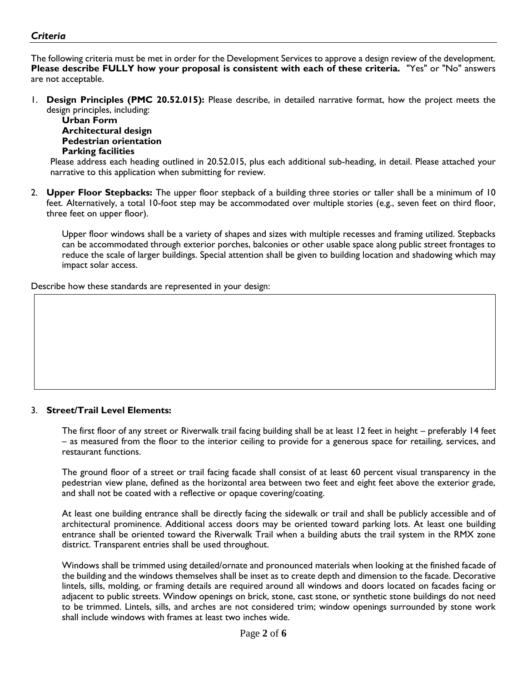### *Criteria*

The following criteria must be met in order for the Development Services to approve a design review of the development. **Please describe FULLY how your proposal is consistent with each of these criteria.** "Yes" or "No" answers are not acceptable.

1. **Design Principles (PMC 20.52.015):** Please describe, in detailed narrative format, how the project meets the design principles, including:

**Urban Form Architectural design Pedestrian orientation Parking facilities** 

Please address each heading outlined in 20.52.015, plus each additional sub-heading, in detail. Please attached your narrative to this application when submitting for review.

2. **Upper Floor Stepbacks:** The upper floor stepback of a building three stories or taller shall be a minimum of 10 feet. Alternatively, a total 10-foot step may be accommodated over multiple stories (e.g., seven feet on third floor, three feet on upper floor).

Upper floor windows shall be a variety of shapes and sizes with multiple recesses and framing utilized. Stepbacks can be accommodated through exterior porches, balconies or other usable space along public street frontages to reduce the scale of larger buildings. Special attention shall be given to building location and shadowing which may impact solar access.

Describe how these standards are represented in your design:

#### 3. **Street/Trail Level Elements:**

The first floor of any street or Riverwalk trail facing building shall be at least 12 feet in height – preferably 14 feet – as measured from the floor to the interior ceiling to provide for a generous space for retailing, services, and restaurant functions.

The ground floor of a street or trail facing facade shall consist of at least 60 percent visual transparency in the pedestrian view plane, defined as the horizontal area between two feet and eight feet above the exterior grade, and shall not be coated with a reflective or opaque covering/coating.

At least one building entrance shall be directly facing the sidewalk or trail and shall be publicly accessible and of architectural prominence. Additional access doors may be oriented toward parking lots. At least one building entrance shall be oriented toward the Riverwalk Trail when a building abuts the trail system in the RMX zone district. Transparent entries shall be used throughout.

Windows shall be trimmed using detailed/ornate and pronounced materials when looking at the finished facade of the building and the windows themselves shall be inset as to create depth and dimension to the facade. Decorative lintels, sills, molding, or framing details are required around all windows and doors located on facades facing or adjacent to public streets. Window openings on brick, stone, cast stone, or synthetic stone buildings do not need to be trimmed. Lintels, sills, and arches are not considered trim; window openings surrounded by stone work shall include windows with frames at least two inches wide.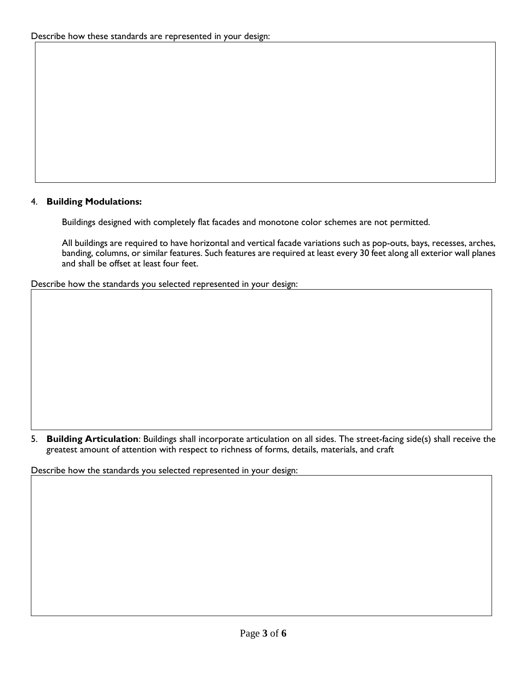### 4. **Building Modulations:**

Buildings designed with completely flat facades and monotone color schemes are not permitted.

All buildings are required to have horizontal and vertical facade variations such as pop-outs, bays, recesses, arches, banding, columns, or similar features. Such features are required at least every 30 feet along all exterior wall planes and shall be offset at least four feet.

Describe how the standards you selected represented in your design:

5. **Building Articulation**: Buildings shall incorporate articulation on all sides. The street-facing side(s) shall receive the greatest amount of attention with respect to richness of forms, details, materials, and craft

Describe how the standards you selected represented in your design: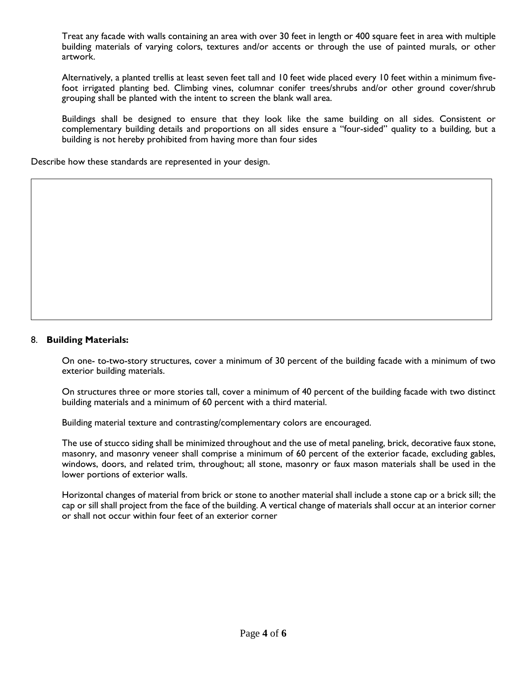Treat any facade with walls containing an area with over 30 feet in length or 400 square feet in area with multiple building materials of varying colors, textures and/or accents or through the use of painted murals, or other artwork.

Alternatively, a planted trellis at least seven feet tall and 10 feet wide placed every 10 feet within a minimum fivefoot irrigated planting bed. Climbing vines, columnar conifer trees/shrubs and/or other ground cover/shrub grouping shall be planted with the intent to screen the blank wall area.

Buildings shall be designed to ensure that they look like the same building on all sides. Consistent or complementary building details and proportions on all sides ensure a "four-sided" quality to a building, but a building is not hereby prohibited from having more than four sides

Describe how these standards are represented in your design.

#### 8. **Building Materials:**

On one- to-two-story structures, cover a minimum of 30 percent of the building facade with a minimum of two exterior building materials.

On structures three or more stories tall, cover a minimum of 40 percent of the building facade with two distinct building materials and a minimum of 60 percent with a third material.

Building material texture and contrasting/complementary colors are encouraged.

The use of stucco siding shall be minimized throughout and the use of metal paneling, brick, decorative faux stone, masonry, and masonry veneer shall comprise a minimum of 60 percent of the exterior facade, excluding gables, windows, doors, and related trim, throughout; all stone, masonry or faux mason materials shall be used in the lower portions of exterior walls.

Horizontal changes of material from brick or stone to another material shall include a stone cap or a brick sill; the cap or sill shall project from the face of the building. A vertical change of materials shall occur at an interior corner or shall not occur within four feet of an exterior corner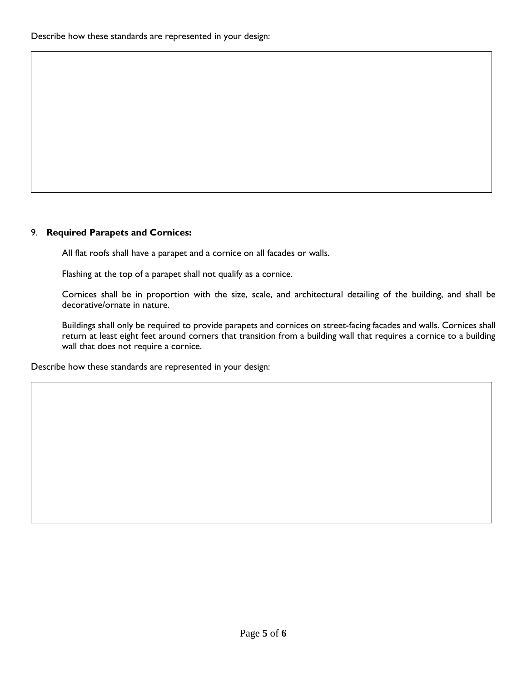#### 9. **Required Parapets and Cornices:**

All flat roofs shall have a parapet and a cornice on all facades or walls.

Flashing at the top of a parapet shall not qualify as a cornice.

Cornices shall be in proportion with the size, scale, and architectural detailing of the building, and shall be decorative/ornate in nature.

Buildings shall only be required to provide parapets and cornices on street-facing facades and walls. Cornices shall return at least eight feet around corners that transition from a building wall that requires a cornice to a building wall that does not require a cornice.

Describe how these standards are represented in your design: